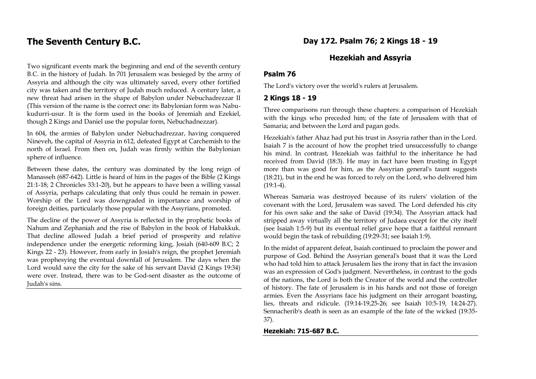# **The Seventh Century B.C.**

Two significant events mark the beginning and end of the seventh century B.C. in the history of Judah. In 701 Jerusalem was besieged by the army of Assyria and although the city was ultimately saved, every other fortified city was taken and the territory of Judah much reduced. A century later, a new threat had arisen in the shape of Babylon under Nebuchadrezzar II (This version of the name is the correct one: its Babylonian form was Nabukudurri-usur. It is the form used in the books of Jeremiah and Ezekiel, though 2 Kings and Daniel use the popular form, Nebuchadnezzar).

In 604, the armies of Babylon under Nebuchadrezzar, having conquered Nineveh, the capital of Assyria in 612, defeated Egypt at Carchemish to the north of Israel. From then on, Judah was firmly within the Babylonian sphere of influence.

Between these dates, the century was dominated by the long reign of Manasseh (687-642). Little is heard of him in the pages of the Bible (2 Kings 21:1-18; 2 Chronicles 33:1-20), but he appears to have been a willing vassal of Assyria, perhaps calculating that only thus could he remain in power. Worship of the Lord was downgraded in importance and worship of foreign deities, particularly those popular with the Assyrians, promoted.

The decline of the power of Assyria is reflected in the prophetic books of Nahum and Zephaniah and the rise of Babylon in the book of Habakkuk. That decline allowed Judah a brief period of prosperity and relative independence under the energetic reforming king, Josiah (640-609 B.C; 2 Kings 22 - 23). However, from early in Josiah's reign, the prophet Jeremiah was prophesying the eventual downfall of Jerusalem. The days when the Lord would save the city for the sake of his servant David (2 Kings 19:34) were over. Instead, there was to be God-sent disaster as the outcome of Judah's sins.

### **Day 172. Psalm 76; 2 Kings 18 - 19**

### **Hezekiah and Assyria**

#### **Psalm 76**

The Lord's victory over the world's rulers at Jerusalem.

#### **2 Kings 18 - 19**

Three comparisons run through these chapters: a comparison of Hezekiah with the kings who preceded him; of the fate of Jerusalem with that of Samaria; and between the Lord and pagan gods.

Hezekiah's father Ahaz had put his trust in Assyria rather than in the Lord. Isaiah 7 is the account of how the prophet tried unsuccessfully to change his mind. In contrast, Hezekiah was faithful to the inheritance he had received from David (18:3). He may in fact have been trusting in Egypt more than was good for him, as the Assyrian general's taunt suggests (18:21), but in the end he was forced to rely on the Lord, who delivered him  $(19:1-4)$ .

Whereas Samaria was destroyed because of its rulers' violation of the covenant with the Lord, Jerusalem was saved. The Lord defended his city for his own sake and the sake of David (19:34). The Assyrian attack had stripped away virtually all the territory of Judaea except for the city itself (see Isaiah 1:5-9) but its eventual relief gave hope that a faithful remnant would begin the task of rebuilding (19:29-31; see Isaiah 1:9).

In the midst of apparent defeat, Isaiah continued to proclaim the power and purpose of God. Behind the Assyrian general's boast that it was the Lord who had told him to attack Jerusalem lies the irony that in fact the invasion was an expression of God's judgment. Nevertheless, in contrast to the gods of the nations, the Lord is both the Creator of the world and the controller of history. The fate of Jerusalem is in his hands and not those of foreign armies. Even the Assyrians face his judgment on their arrogant boasting, lies, threats and ridicule. (19:14-19,25-26; see Isaiah 10:5-19, 14:24-27). Sennacherib's death is seen as an example of the fate of the wicked (19:35- 37).

#### **Hezekiah: 715-687 B.C.**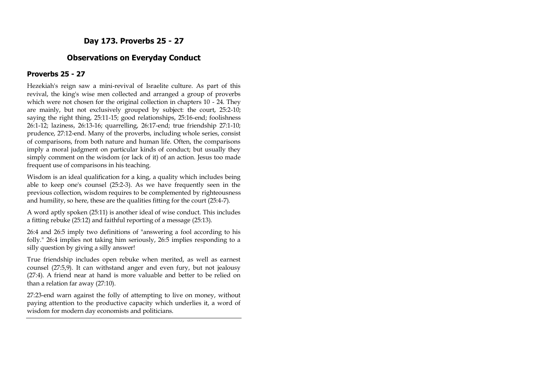# **Day 173. Proverbs 25 - 27**

## **Observations on Everyday Conduct**

### **Proverbs 25 - 27**

Hezekiah's reign saw a mini-revival of Israelite culture. As part of this revival, the king's wise men collected and arranged a group of proverbs which were not chosen for the original collection in chapters 10 - 24. They are mainly, but not exclusively grouped by subject: the court, 25:2-10; saying the right thing, 25:11-15; good relationships, 25:16-end; foolishness 26:1-12; laziness, 26:13-16; quarrelling, 26:17-end; true friendship 27:1-10; prudence, 27:12-end. Many of the proverbs, including whole series, consist of comparisons, from both nature and human life. Often, the comparisons imply a moral judgment on particular kinds of conduct; but usually they simply comment on the wisdom (or lack of it) of an action. Jesus too made frequent use of comparisons in his teaching.

Wisdom is an ideal qualification for a king, a quality which includes being able to keep one's counsel (25:2-3). As we have frequently seen in the previous collection, wisdom requires to be complemented by righteousness and humility, so here, these are the qualities fitting for the court (25:4-7).

A word aptly spoken (25:11) is another ideal of wise conduct. This includes a fitting rebuke (25:12) and faithful reporting of a message (25:13).

26:4 and 26:5 imply two definitions of "answering a fool according to his folly." 26:4 implies not taking him seriously, 26:5 implies responding to a silly question by giving a silly answer!

True friendship includes open rebuke when merited, as well as earnest counsel (27:5,9). It can withstand anger and even fury, but not jealousy (27:4). A friend near at hand is more valuable and better to be relied on than a relation far away (27:10).

27:23-end warn against the folly of attempting to live on money, without paying attention to the productive capacity which underlies it, a word of wisdom for modern day economists and politicians.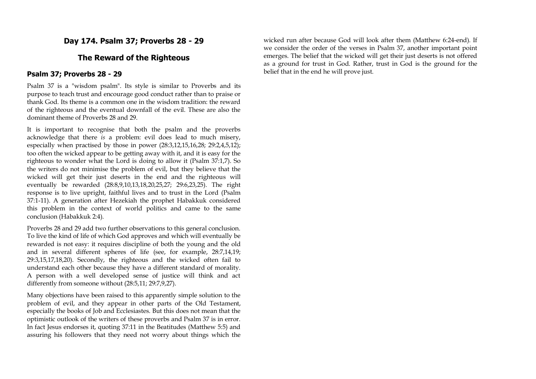# **Day 174. Psalm 37; Proverbs 28 - 29**

## **The Reward of the Righteous**

#### **Psalm 37; Proverbs 28 - 29**

Psalm 37 is a "wisdom psalm". Its style is similar to Proverbs and its purpose to teach trust and encourage good conduct rather than to praise or thank God. Its theme is a common one in the wisdom tradition: the reward of the righteous and the eventual downfall of the evil. These are also the dominant theme of Proverbs 28 and 29.

It is important to recognise that both the psalm and the proverbs acknowledge that there *is* a problem: evil does lead to much misery, especially when practised by those in power (28:3,12,15,16,28; 29:2,4,5,12); too often the wicked appear to be getting away with it, and it is easy for the righteous to wonder what the Lord is doing to allow it (Psalm 37:1,7). So the writers do not minimise the problem of evil, but they believe that the wicked will get their just deserts in the end and the righteous will eventually be rewarded (28:8,9,10,13,18,20,25,27; 29:6,23,25). The right response is to live upright, faithful lives and to trust in the Lord (Psalm 37:1-11). A generation after Hezekiah the prophet Habakkuk considered this problem in the context of world politics and came to the same conclusion (Habakkuk 2:4).

Proverbs 28 and 29 add two further observations to this general conclusion. To live the kind of life of which God approves and which will eventually be rewarded is not easy: it requires discipline of both the young and the old and in several different spheres of life (see, for example, 28:7,14,19; 29:3,15,17,18,20). Secondly, the righteous and the wicked often fail to understand each other because they have a different standard of morality. A person with a well developed sense of justice will think and act differently from someone without (28:5,11; 29:7,9,27).

Many objections have been raised to this apparently simple solution to the problem of evil, and they appear in other parts of the Old Testament, especially the books of Job and Ecclesiastes. But this does not mean that the optimistic outlook of the writers of these proverbs and Psalm 37 is in error. In fact Jesus endorses it, quoting 37:11 in the Beatitudes (Matthew 5:5) and assuring his followers that they need not worry about things which the

wicked run after because God will look after them (Matthew 6:24-end). If we consider the order of the verses in Psalm 37, another important point emerges. The belief that the wicked will get their just deserts is not offered as a ground for trust in God. Rather, trust in God is the ground for the belief that in the end he will prove just.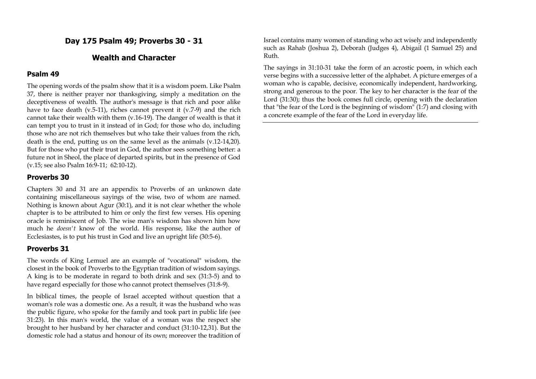## **Day 175 Psalm 49; Proverbs 30 - 31**

## **Wealth and Character**

#### **Psalm 49**

The opening words of the psalm show that it is a wisdom poem. Like Psalm 37, there is neither prayer nor thanksgiving, simply a meditation on the deceptiveness of wealth. The author's message is that rich and poor alike have to face death (v.5-11), riches cannot prevent it (v.7-9) and the rich cannot take their wealth with them (v.16-19). The danger of wealth is that it can tempt you to trust in it instead of in God; for those who do, including those who are not rich themselves but who take their values from the rich, death is the end, putting us on the same level as the animals (v.12-14,20). But for those who put their trust in God, the author sees something better: a future not in Sheol, the place of departed spirits, but in the presence of God (v.15; see also Psalm 16:9-11; 62:10-12).

#### **Proverbs 30**

Chapters 30 and 31 are an appendix to Proverbs of an unknown date containing miscellaneous sayings of the wise, two of whom are named. Nothing is known about Agur (30:1), and it is not clear whether the whole chapter is to be attributed to him or only the first few verses. His opening oracle is reminiscent of Job. The wise man's wisdom has shown him how much he *doesn't* know of the world. His response, like the author of Ecclesiastes, is to put his trust in God and live an upright life (30:5-6).

#### **Proverbs 31**

The words of King Lemuel are an example of "vocational" wisdom, the closest in the book of Proverbs to the Egyptian tradition of wisdom sayings. A king is to be moderate in regard to both drink and sex (31:3-5) and to have regard especially for those who cannot protect themselves (31:8-9).

In biblical times, the people of Israel accepted without question that a woman's role was a domestic one. As a result, it was the husband who was the public figure, who spoke for the family and took part in public life (see 31:23). In this man's world, the value of a woman was the respect she brought to her husband by her character and conduct (31:10-12,31). But the domestic role had a status and honour of its own; moreover the tradition of Israel contains many women of standing who act wisely and independently such as Rahab (Joshua 2), Deborah (Judges 4), Abigail (1 Samuel 25) and Ruth.

The sayings in 31:10-31 take the form of an acrostic poem, in which each verse begins with a successive letter of the alphabet. A picture emerges of a woman who is capable, decisive, economically independent, hardworking, strong and generous to the poor. The key to her character is the fear of the Lord (31:30); thus the book comes full circle, opening with the declaration that "the fear of the Lord is the beginning of wisdom" (1:7) and closing with a concrete example of the fear of the Lord in everyday life.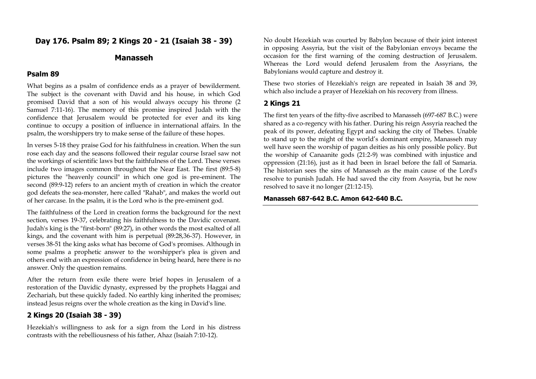## **Day 176. Psalm 89; 2 Kings 20 - 21 (Isaiah 38 - 39)**

### **Manasseh**

#### **Psalm 89**

What begins as a psalm of confidence ends as a prayer of bewilderment. The subject is the covenant with David and his house, in which God promised David that a son of his would always occupy his throne (2 Samuel 7:11-16). The memory of this promise inspired Judah with the confidence that Jerusalem would be protected for ever and its king continue to occupy a position of influence in international affairs. In the psalm, the worshippers try to make sense of the failure of these hopes.

In verses 5-18 they praise God for his faithfulness in creation. When the sun rose each day and the seasons followed their regular course Israel saw not the workings of scientific laws but the faithfulness of the Lord. These verses include two images common throughout the Near East. The first (89:5-8) pictures the "heavenly council" in which one god is pre-eminent. The second (89:9-12) refers to an ancient myth of creation in which the creator god defeats the sea-monster, here called "Rahab", and makes the world out of her carcase. In the psalm, it is the Lord who is the pre-eminent god.

The faithfulness of the Lord in creation forms the background for the next section, verses 19-37, celebrating his faithfulness to the Davidic covenant. Judah's king is the "first-born" (89:27), in other words the most exalted of all kings, and the covenant with him is perpetual (89:28,36-37). However, in verses 38-51 the king asks what has become of God's promises. Although in some psalms a prophetic answer to the worshipper's plea is given and others end with an expression of confidence in being heard, here there is no answer. Only the question remains.

After the return from exile there were brief hopes in Jerusalem of a restoration of the Davidic dynasty, expressed by the prophets Haggai and Zechariah, but these quickly faded. No earthly king inherited the promises; instead Jesus reigns over the whole creation as the king in David's line.

#### **2 Kings 20 (Isaiah 38 - 39)**

Hezekiah's willingness to ask for a sign from the Lord in his distress contrasts with the rebelliousness of his father, Ahaz (Isaiah 7:10-12).

No doubt Hezekiah was courted by Babylon because of their joint interest in opposing Assyria, but the visit of the Babylonian envoys became the occasion for the first warning of the coming destruction of Jerusalem. Whereas the Lord would defend Jerusalem from the Assyrians, the Babylonians would capture and destroy it.

These two stories of Hezekiah's reign are repeated in Isaiah 38 and 39, which also include a prayer of Hezekiah on his recovery from illness.

#### **2 Kings 21**

The first ten years of the fifty-five ascribed to Manasseh (697-687 B.C.) were shared as a co-regency with his father. During his reign Assyria reached the peak of its power, defeating Egypt and sacking the city of Thebes. Unable to stand up to the might of the world's dominant empire, Manasseh may well have seen the worship of pagan deities as his only possible policy. But the worship of Canaanite gods (21:2-9) was combined with injustice and oppression (21:16), just as it had been in Israel before the fall of Samaria. The historian sees the sins of Manasseh as the main cause of the Lord's resolve to punish Judah. He had saved the city from Assyria, but he now resolved to save it no longer (21:12-15).

#### **Manasseh 687-642 B.C. Amon 642-640 B.C.**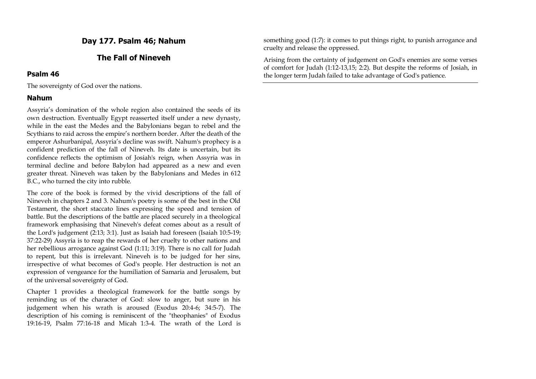## **Day 177. Psalm 46; Nahum**

## **The Fall of Nineveh**

#### **Psalm 46**

The sovereignty of God over the nations.

#### **Nahum**

Assyria's domination of the whole region also contained the seeds of its own destruction. Eventually Egypt reasserted itself under a new dynasty, while in the east the Medes and the Babylonians began to rebel and the Scythians to raid across the empire's northern border. After the death of the emperor Ashurbanipal, Assyria's decline was swift. Nahum's prophecy is a confident prediction of the fall of Nineveh. Its date is uncertain, but its confidence reflects the optimism of Josiah's reign, when Assyria was in terminal decline and before Babylon had appeared as a new and even greater threat. Nineveh was taken by the Babylonians and Medes in 612 B.C., who turned the city into rubble.

The core of the book is formed by the vivid descriptions of the fall of Nineveh in chapters 2 and 3. Nahum's poetry is some of the best in the Old Testament, the short staccato lines expressing the speed and tension of battle. But the descriptions of the battle are placed securely in a theological framework emphasising that Nineveh's defeat comes about as a result of the Lord's judgement (2:13; 3:1). Just as Isaiah had foreseen (Isaiah 10:5-19; 37:22-29) Assyria is to reap the rewards of her cruelty to other nations and her rebellious arrogance against God (1:11; 3:19). There is no call for Judah to repent, but this is irrelevant. Nineveh is to be judged for her sins, irrespective of what becomes of God's people. Her destruction is not an expression of vengeance for the humiliation of Samaria and Jerusalem, but of the universal sovereignty of God.

Chapter 1 provides a theological framework for the battle songs by reminding us of the character of God: slow to anger, but sure in his judgement when his wrath is aroused (Exodus 20:4-6; 34:5-7). The description of his coming is reminiscent of the "theophanies" of Exodus 19:16-19, Psalm 77:16-18 and Micah 1:3-4. The wrath of the Lord is something good (1:7): it comes to put things right, to punish arrogance and cruelty and release the oppressed.

Arising from the certainty of judgement on God's enemies are some verses of comfort for Judah (1:12-13,15; 2:2). But despite the reforms of Josiah, in the longer term Judah failed to take advantage of God's patience.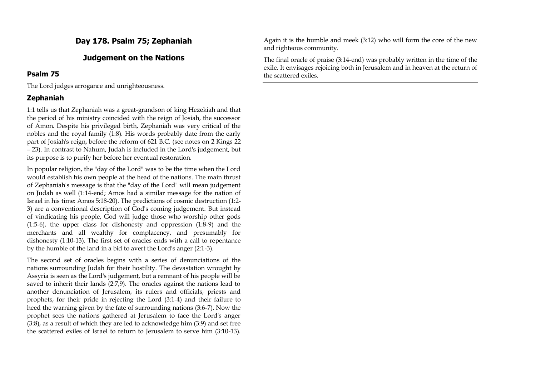# **Day 178. Psalm 75; Zephaniah**

## **Judgement on the Nations**

### **Psalm 75**

The Lord judges arrogance and unrighteousness.

## **Zephaniah**

1:1 tells us that Zephaniah was a great-grandson of king Hezekiah and that the period of his ministry coincided with the reign of Josiah, the successor of Amon. Despite his privileged birth, Zephaniah was very critical of the nobles and the royal family (1:8). His words probably date from the early part of Josiah's reign, before the reform of 621 B.C. (see notes on 2 Kings 22 – 23). In contrast to Nahum, Judah is included in the Lord's judgement, but its purpose is to purify her before her eventual restoration.

In popular religion, the "day of the Lord" was to be the time when the Lord would establish his own people at the head of the nations. The main thrust of Zephaniah's message is that the "day of the Lord" will mean judgement on Judah as well (1:14-end; Amos had a similar message for the nation of Israel in his time: Amos 5:18-20). The predictions of cosmic destruction (1:2- 3) are a conventional description of God's coming judgement. But instead of vindicating his people, God will judge those who worship other gods (1:5-6), the upper class for dishonesty and oppression (1:8-9) and the merchants and all wealthy for complacency, and presumably for dishonesty (1:10-13). The first set of oracles ends with a call to repentance by the humble of the land in a bid to avert the Lord's anger (2:1-3).

The second set of oracles begins with a series of denunciations of the nations surrounding Judah for their hostility. The devastation wrought by Assyria is seen as the Lord's judgement, but a remnant of his people will be saved to inherit their lands (2:7,9). The oracles against the nations lead to another denunciation of Jerusalem, its rulers and officials, priests and prophets, for their pride in rejecting the Lord (3:1-4) and their failure to heed the warning given by the fate of surrounding nations (3:6-7). Now the prophet sees the nations gathered at Jerusalem to face the Lord's anger (3:8), as a result of which they are led to acknowledge him (3:9) and set free the scattered exiles of Israel to return to Jerusalem to serve him (3:10-13).

Again it is the humble and meek (3:12) who will form the core of the new and righteous community.

The final oracle of praise (3:14-end) was probably written in the time of the exile. It envisages rejoicing both in Jerusalem and in heaven at the return of the scattered exiles.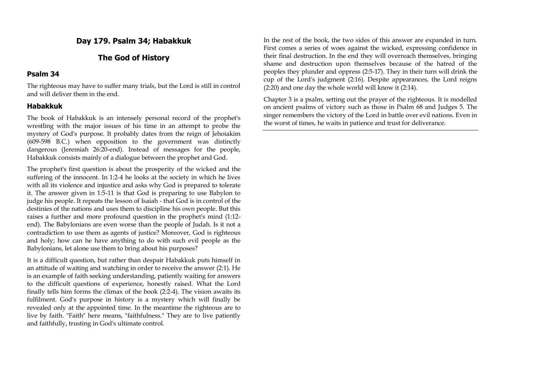## **Day 179. Psalm 34; Habakkuk**

## **The God of History**

### **Psalm 34**

The righteous may have to suffer many trials, but the Lord is still in control and will deliver them in the end.

### **Habakkuk**

The book of Habakkuk is an intensely personal record of the prophet's wrestling with the major issues of his time in an attempt to probe the mystery of God's purpose. It probably dates from the reign of Jehoiakim (609-598 B.C.) when opposition to the government was distinctly dangerous (Jeremiah 26:20-end). Instead of messages for the people, Habakkuk consists mainly of a dialogue between the prophet and God.

The prophet's first question is about the prosperity of the wicked and the suffering of the innocent. In 1:2-4 he looks at the society in which he lives with all its violence and injustice and asks why God is prepared to tolerate it. The answer given in 1:5-11 is that God is preparing to use Babylon to judge his people. It repeats the lesson of Isaiah - that God is in control of the destinies of the nations and uses them to discipline his own people. But this raises a further and more profound question in the prophet's mind (1:12 end). The Babylonians are even worse than the people of Judah. Is it not a contradiction to use them as agents of justice? Moreover, God is righteous and holy; how can he have anything to do with such evil people as the Babylonians, let alone use them to bring about his purposes?

It is a difficult question, but rather than despair Habakkuk puts himself in an attitude of waiting and watching in order to receive the answer (2:1). He is an example of faith seeking understanding, patiently waiting for answers to the difficult questions of experience, honestly raised. What the Lord finally tells him forms the climax of the book (2:2-4). The vision awaits its fulfilment. God's purpose in history is a mystery which will finally be revealed only at the appointed time. In the meantime the righteous are to live by faith. "Faith" here means, "faithfulness." They are to live patiently and faithfully, trusting in God's ultimate control.

In the rest of the book, the two sides of this answer are expanded in turn. First comes a series of woes against the wicked, expressing confidence in their final destruction. In the end they will overreach themselves, bringing shame and destruction upon themselves because of the hatred of the peoples they plunder and oppress (2:5-17). They in their turn will drink the cup of the Lord's judgment (2:16). Despite appearances, the Lord reigns (2:20) and one day the whole world will know it (2:14).

Chapter 3 is a psalm, setting out the prayer of the righteous. It is modelled on ancient psalms of victory such as those in Psalm 68 and Judges 5. The singer remembers the victory of the Lord in battle over evil nations. Even in the worst of times, he waits in patience and trust for deliverance.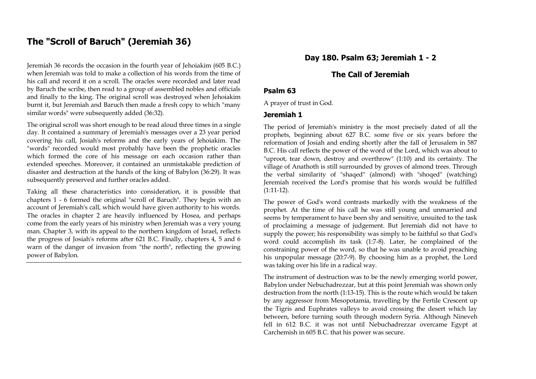# **The "Scroll of Baruch" (Jeremiah 36)**

Jeremiah 36 records the occasion in the fourth year of Jehoiakim (605 B.C.) when Jeremiah was told to make a collection of his words from the time of his call and record it on a scroll. The oracles were recorded and later read by Baruch the scribe, then read to a group of assembled nobles and officials and finally to the king. The original scroll was destroyed when Jehoiakim burnt it, but Jeremiah and Baruch then made a fresh copy to which "many similar words" were subsequently added (36:32).

The original scroll was short enough to be read aloud three times in a single day. It contained a summary of Jeremiah's messages over a 23 year period covering his call, Josiah's reforms and the early years of Jehoiakim. The "words" recorded would most probably have been the prophetic oracles which formed the core of his message on each occasion rather than extended speeches. Moreover, it contained an unmistakable prediction of disaster and destruction at the hands of the king of Babylon (36:29). It was subsequently preserved and further oracles added.

Taking all these characteristics into consideration, it is possible that chapters 1 - 6 formed the original "scroll of Baruch". They begin with an account of Jeremiah's call, which would have given authority to his words. The oracles in chapter 2 are heavily influenced by Hosea, and perhaps come from the early years of his ministry when Jeremiah was a very young man. Chapter 3, with its appeal to the northern kingdom of Israel, reflects the progress of Josiah's reforms after 621 B.C. Finally, chapters 4, 5 and 6 warn of the danger of invasion from "the north", reflecting the growing power of Babylon.

## **Day 180. Psalm 63; Jeremiah 1 - 2**

## **The Call of Jeremiah**

#### **Psalm 63**

A prayer of trust in God.

#### **Jeremiah 1**

The period of Jeremiah's ministry is the most precisely dated of all the prophets, beginning about 627 B.C. some five or six years before the reformation of Josiah and ending shortly after the fall of Jerusalem in 587 B.C. His call reflects the power of the word of the Lord, which was about to "uproot, tear down, destroy and overthrow" (1:10) and its certainty. The village of Anathoth is still surrounded by groves of almond trees. Through the verbal similarity of "shaqed" (almond) with "shoqed" (watching) Jeremiah received the Lord's promise that his words would be fulfilled (1:11-12).

The power of God's word contrasts markedly with the weakness of the prophet. At the time of his call he was still young and unmarried and seems by temperament to have been shy and sensitive, unsuited to the task of proclaiming a message of judgement. But Jeremiah did not have to supply the power; his responsibility was simply to be faithful so that God's word could accomplish its task (1:7-8). Later, he complained of the constraining power of the word, so that he was unable to avoid preaching his unpopular message (20:7-9). By choosing him as a prophet, the Lord was taking over his life in a radical way.

The instrument of destruction was to be the newly emerging world power, Babylon under Nebuchadrezzar, but at this point Jeremiah was shown only destruction from the north (1:13-15). This is the route which would be taken by any aggressor from Mesopotamia, travelling by the Fertile Crescent up the Tigris and Euphrates valleys to avoid crossing the desert which lay between, before turning south through modern Syria. Although Nineveh fell in 612 B.C. it was not until Nebuchadrezzar overcame Egypt at Carchemish in 605 B.C. that his power was secure.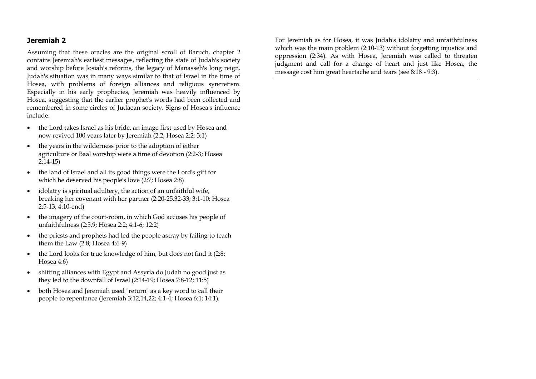#### **Jeremiah 2**

Assuming that these oracles are the original scroll of Baruch, chapter 2 contains Jeremiah's earliest messages, reflecting the state of Judah's society and worship before Josiah's reforms, the legacy of Manasseh's long reign. Judah's situation was in many ways similar to that of Israel in the time of Hosea, with problems of foreign alliances and religious syncretism. Especially in his early prophecies, Jeremiah was heavily influenced by Hosea, suggesting that the earlier prophet's words had been collected and remembered in some circles of Judaean society. Signs of Hosea's influence include:

- the Lord takes Israel as his bride, an image first used by Hosea and now revived 100 years later by Jeremiah (2:2; Hosea 2:2; 3:1)
- the years in the wilderness prior to the adoption of either agriculture or Baal worship were a time of devotion (2:2-3; Hosea 2:14-15)
- the land of Israel and all its good things were the Lord's gift for which he deserved his people's love (2:7; Hosea 2:8)
- idolatry is spiritual adultery, the action of an unfaithful wife, breaking her covenant with her partner (2:20-25,32-33; 3:1-10; Hosea 2:5-13; 4:10-end)
- the imagery of the court-room, in which God accuses his people of unfaithfulness (2:5,9; Hosea 2:2; 4:1-6; 12:2)
- the priests and prophets had led the people astray by failing to teach them the Law (2:8; Hosea 4:6-9)
- the Lord looks for true knowledge of him, but does not find it (2:8; Hosea 4:6)
- shifting alliances with Egypt and Assyria do Judah no good just as they led to the downfall of Israel (2:14-19; Hosea 7:8-12; 11:5)
- both Hosea and Jeremiah used "return" as a key word to call their people to repentance (Jeremiah 3:12,14,22; 4:1-4; Hosea 6:1; 14:1).

For Jeremiah as for Hosea, it was Judah's idolatry and unfaithfulness which was the main problem (2:10-13) without forgetting injustice and oppression (2:34). As with Hosea, Jeremiah was called to threaten judgment and call for a change of heart and just like Hosea, the message cost him great heartache and tears (see 8:18 - 9:3).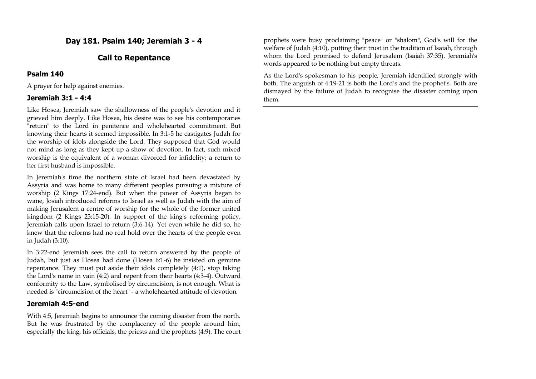# **Day 181. Psalm 140; Jeremiah 3 - 4**

## **Call to Repentance**

### **Psalm 140**

A prayer for help against enemies.

## **Jeremiah 3:1 - 4:4**

Like Hosea, Jeremiah saw the shallowness of the people's devotion and it grieved him deeply. Like Hosea, his desire was to see his contemporaries "return" to the Lord in penitence and wholehearted commitment. But knowing their hearts it seemed impossible. In 3:1-5 he castigates Judah for the worship of idols alongside the Lord. They supposed that God would not mind as long as they kept up a show of devotion. In fact, such mixed worship is the equivalent of a woman divorced for infidelity; a return to her first husband is impossible.

In Jeremiah's time the northern state of Israel had been devastated by Assyria and was home to many different peoples pursuing a mixture of worship (2 Kings 17:24-end). But when the power of Assyria began to wane, Josiah introduced reforms to Israel as well as Judah with the aim of making Jerusalem a centre of worship for the whole of the former united kingdom (2 Kings 23:15-20). In support of the king's reforming policy, Jeremiah calls upon Israel to return (3:6-14). Yet even while he did so, he knew that the reforms had no real hold over the hearts of the people even in Judah (3:10).

In 3:22-end Jeremiah sees the call to return answered by the people of Judah, but just as Hosea had done (Hosea 6:1-6) he insisted on genuine repentance. They must put aside their idols completely (4:1), stop taking the Lord's name in vain (4:2) and repent from their hearts (4:3-4). Outward conformity to the Law, symbolised by circumcision, is not enough. What is needed is "circumcision of the heart" - a wholehearted attitude of devotion.

## **Jeremiah 4:5-end**

With 4:5, Jeremiah begins to announce the coming disaster from the north. But he was frustrated by the complacency of the people around him, especially the king, his officials, the priests and the prophets (4:9). The court

prophets were busy proclaiming "peace" or "shalom", God's will for the welfare of Judah (4:10), putting their trust in the tradition of Isaiah, through whom the Lord promised to defend Jerusalem (Isaiah 37:35). Jeremiah's words appeared to be nothing but empty threats.

As the Lord's spokesman to his people, Jeremiah identified strongly with both. The anguish of 4:19-21 is both the Lord's and the prophet's. Both are dismayed by the failure of Judah to recognise the disaster coming upon them.